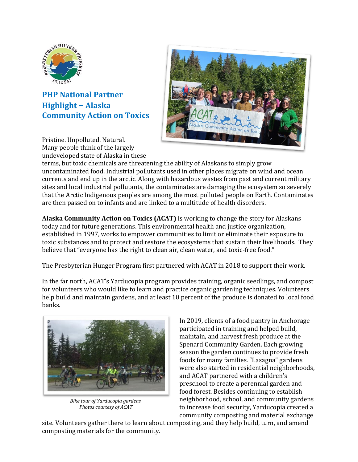

**PHP National Partner Highlight – Alaska Community Action on Toxics**



Pristine. Unpolluted. Natural. Many people think of the largely undeveloped state of Alaska in these

terms, but toxic chemicals are threatening the ability of Alaskans to simply grow uncontaminated food. Industrial pollutants used in other places migrate on wind and ocean currents and end up in the arctic. Along with hazardous wastes from past and current military sites and local industrial pollutants, the contaminates are damaging the ecosystem so severely that the Arctic Indigenous peoples are among the most polluted people on Earth. Contaminates are then passed on to infants and are linked to a multitude of health disorders.

**Alaska Community Action on Toxics (ACAT)** is working to change the story for Alaskans today and for future generations. This environmental health and justice organization, established in 1997, works to empower communities to limit or eliminate their exposure to toxic substances and to protect and restore the ecosystems that sustain their livelihoods. They believe that "everyone has the right to clean air, clean water, and toxic-free food."

The Presbyterian Hunger Program first partnered with ACAT in 2018 to support their work.

In the far north, ACAT's Yarducopia program provides training, organic seedlings, and compost for volunteers who would like to learn and practice organic gardening techniques. Volunteers help build and maintain gardens, and at least 10 percent of the produce is donated to local food banks.



*Bike tour of Yarducopia gardens. Photos courtesy of ACAT*

In 2019, clients of a food pantry in Anchorage participated in training and helped build, maintain, and harvest fresh produce at the Spenard Community Garden. Each growing season the garden continues to provide fresh foods for many families. "Lasagna" gardens were also started in residential neighborhoods, and ACAT partnered with a children's preschool to create a perennial garden and food forest. Besides continuing to establish neighborhood, school, and community gardens to increase food security, Yarducopia created a community composting and material exchange

site. Volunteers gather there to learn about composting, and they help build, turn, and amend composting materials for the community.